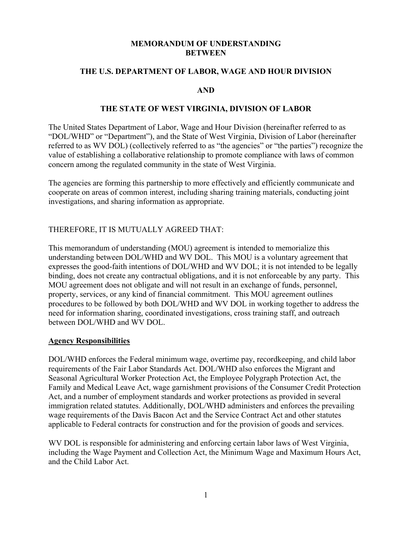#### **MEMORANDUM OF UNDERSTANDING BETWEEN**

### **THE U.S. DEPARTMENT OF LABOR, WAGE AND HOUR DIVISION**

#### **AND**

#### **THE STATE OF WEST VIRGINIA, DIVISION OF LABOR**

The United States Department of Labor, Wage and Hour Division (hereinafter referred to as "DOL/WHD" or "Department"), and the State of West Virginia, Division of Labor (hereinafter referred to as WV DOL) (collectively referred to as "the agencies" or "the parties") recognize the value of establishing a collaborative relationship to promote compliance with laws of common concern among the regulated community in the state of West Virginia.

The agencies are forming this partnership to more effectively and efficiently communicate and cooperate on areas of common interest, including sharing training materials, conducting joint investigations, and sharing information as appropriate.

## THEREFORE, IT IS MUTUALLY AGREED THAT:

This memorandum of understanding (MOU) agreement is intended to memorialize this understanding between DOL/WHD and WV DOL. This MOU is a voluntary agreement that expresses the good-faith intentions of DOL/WHD and WV DOL; it is not intended to be legally binding, does not create any contractual obligations, and it is not enforceable by any party. This MOU agreement does not obligate and will not result in an exchange of funds, personnel, property, services, or any kind of financial commitment. This MOU agreement outlines procedures to be followed by both DOL/WHD and WV DOL in working together to address the need for information sharing, coordinated investigations, cross training staff, and outreach between DOL/WHD and WV DOL.

#### **Agency Responsibilities**

DOL/WHD enforces the Federal minimum wage, overtime pay, recordkeeping, and child labor requirements of the Fair Labor Standards Act. DOL/WHD also enforces the Migrant and Seasonal Agricultural Worker Protection Act, the Employee Polygraph Protection Act, the Family and Medical Leave Act, wage garnishment provisions of the Consumer Credit Protection Act, and a number of employment standards and worker protections as provided in several immigration related statutes. Additionally, DOL/WHD administers and enforces the prevailing wage requirements of the Davis Bacon Act and the Service Contract Act and other statutes applicable to Federal contracts for construction and for the provision of goods and services.

WV DOL is responsible for administering and enforcing certain labor laws of West Virginia, including the Wage Payment and Collection Act, the Minimum Wage and Maximum Hours Act, and the Child Labor Act.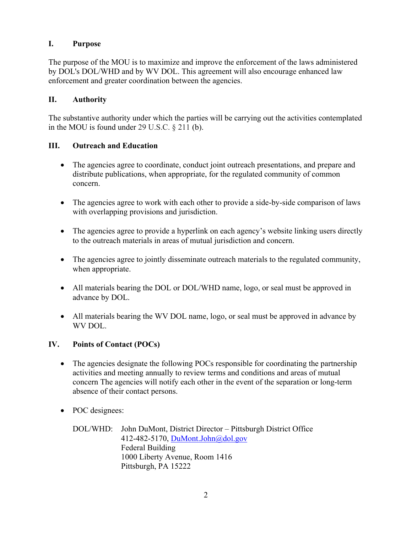## **I. Purpose**

The purpose of the MOU is to maximize and improve the enforcement of the laws administered by DOL's DOL/WHD and by WV DOL. This agreement will also encourage enhanced law enforcement and greater coordination between the agencies.

### **II. Authority**

The substantive authority under which the parties will be carrying out the activities contemplated in the MOU is found under 29 U.S.C. § 211 (b).

### **III. Outreach and Education**

- The agencies agree to coordinate, conduct joint outreach presentations, and prepare and distribute publications, when appropriate, for the regulated community of common concern.
- The agencies agree to work with each other to provide a side-by-side comparison of laws with overlapping provisions and jurisdiction.
- The agencies agree to provide a hyperlink on each agency's website linking users directly to the outreach materials in areas of mutual jurisdiction and concern.
- The agencies agree to jointly disseminate outreach materials to the regulated community, when appropriate.
- All materials bearing the DOL or DOL/WHD name, logo, or seal must be approved in advance by DOL.
- All materials bearing the WV DOL name, logo, or seal must be approved in advance by WV DOL.

## **IV. Points of Contact (POCs)**

- The agencies designate the following POCs responsible for coordinating the partnership activities and meeting annually to review terms and conditions and areas of mutual concern The agencies will notify each other in the event of the separation or long-term absence of their contact persons.
- POC designees:

DOL/WHD: John DuMont, District Director – Pittsburgh District Office 412-482-5170, [DuMont.John@dol.gov](mailto:DuMont.John@dol.gov) Federal Building 1000 Liberty Avenue, Room 1416 Pittsburgh, PA 15222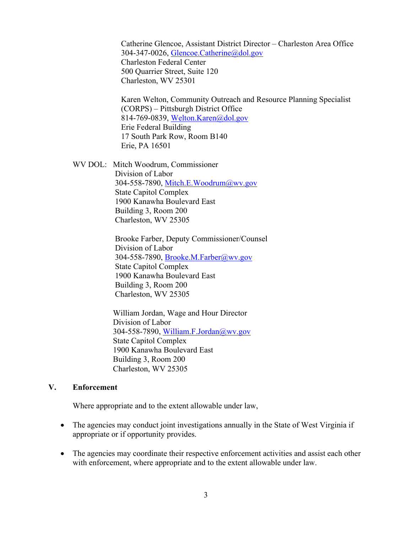Catherine Glencoe, Assistant District Director – Charleston Area Office 304-347-0026, [Glencoe.Catherine@dol.gov](mailto:Glencoe.Catherine@dol.gov) Charleston Federal Center 500 Quarrier Street, Suite 120 Charleston, WV 25301

Karen Welton, Community Outreach and Resource Planning Specialist (CORPS) – Pittsburgh District Office 814-769-0839, [Welton.Karen@dol.gov](mailto:Welton.Karen@dol.gov) Erie Federal Building 17 South Park Row, Room B140 Erie, PA 16501

WV DOL: Mitch Woodrum, Commissioner Division of Labor 304-558-7890, [Mitch.E.Woodrum@wv.gov](mailto:Mitch.E.Woodrum@wv.gov) State Capitol Complex 1900 Kanawha Boulevard East Building 3, Room 200 Charleston, WV 25305

> Brooke Farber, Deputy Commissioner/Counsel Division of Labor 304-558-7890, [Brooke.M.Farber@wv.gov](mailto:Brooke.M.Farber@wv.gov) State Capitol Complex 1900 Kanawha Boulevard East Building 3, Room 200 Charleston, WV 25305

 William Jordan, Wage and Hour Director Division of Labor 304-558-7890, [William.F.Jordan@wv.gov](mailto:William.F.Jordan@wv.gov) State Capitol Complex 1900 Kanawha Boulevard East Building 3, Room 200 Charleston, WV 25305

#### **V. Enforcement**

Where appropriate and to the extent allowable under law,

- The agencies may conduct joint investigations annually in the State of West Virginia if appropriate or if opportunity provides.
- The agencies may coordinate their respective enforcement activities and assist each other with enforcement, where appropriate and to the extent allowable under law.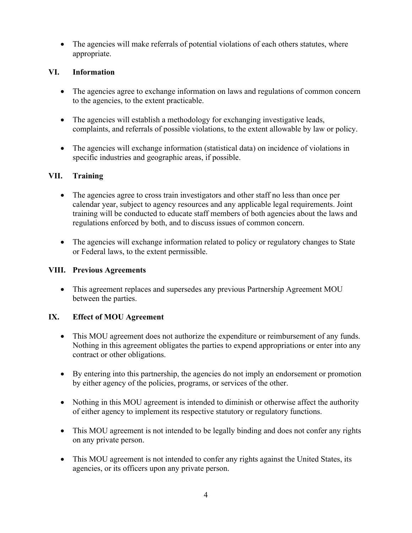• The agencies will make referrals of potential violations of each others statutes, where appropriate.

## **VI. Information**

- The agencies agree to exchange information on laws and regulations of common concern to the agencies, to the extent practicable.
- The agencies will establish a methodology for exchanging investigative leads, complaints, and referrals of possible violations, to the extent allowable by law or policy.
- The agencies will exchange information (statistical data) on incidence of violations in specific industries and geographic areas, if possible.

## **VII. Training**

- The agencies agree to cross train investigators and other staff no less than once per calendar year, subject to agency resources and any applicable legal requirements. Joint training will be conducted to educate staff members of both agencies about the laws and regulations enforced by both, and to discuss issues of common concern.
- The agencies will exchange information related to policy or regulatory changes to State or Federal laws, to the extent permissible.

## **VIII. Previous Agreements**

• This agreement replaces and supersedes any previous Partnership Agreement MOU between the parties.

# **IX. Effect of MOU Agreement**

- This MOU agreement does not authorize the expenditure or reimbursement of any funds. Nothing in this agreement obligates the parties to expend appropriations or enter into any contract or other obligations.
- By entering into this partnership, the agencies do not imply an endorsement or promotion by either agency of the policies, programs, or services of the other.
- Nothing in this MOU agreement is intended to diminish or otherwise affect the authority of either agency to implement its respective statutory or regulatory functions.
- This MOU agreement is not intended to be legally binding and does not confer any rights on any private person.
- This MOU agreement is not intended to confer any rights against the United States, its agencies, or its officers upon any private person.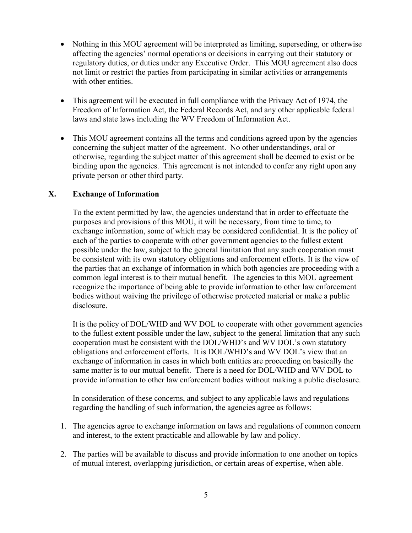- Nothing in this MOU agreement will be interpreted as limiting, superseding, or otherwise affecting the agencies' normal operations or decisions in carrying out their statutory or regulatory duties, or duties under any Executive Order. This MOU agreement also does not limit or restrict the parties from participating in similar activities or arrangements with other entities.
- This agreement will be executed in full compliance with the Privacy Act of 1974, the Freedom of Information Act, the Federal Records Act, and any other applicable federal laws and state laws including the WV Freedom of Information Act.
- This MOU agreement contains all the terms and conditions agreed upon by the agencies concerning the subject matter of the agreement. No other understandings, oral or otherwise, regarding the subject matter of this agreement shall be deemed to exist or be binding upon the agencies. This agreement is not intended to confer any right upon any private person or other third party.

## **X. Exchange of Information**

To the extent permitted by law, the agencies understand that in order to effectuate the purposes and provisions of this MOU, it will be necessary, from time to time, to exchange information, some of which may be considered confidential. It is the policy of each of the parties to cooperate with other government agencies to the fullest extent possible under the law, subject to the general limitation that any such cooperation must be consistent with its own statutory obligations and enforcement efforts. It is the view of the parties that an exchange of information in which both agencies are proceeding with a common legal interest is to their mutual benefit. The agencies to this MOU agreement recognize the importance of being able to provide information to other law enforcement bodies without waiving the privilege of otherwise protected material or make a public disclosure.

It is the policy of DOL/WHD and WV DOL to cooperate with other government agencies to the fullest extent possible under the law, subject to the general limitation that any such cooperation must be consistent with the DOL/WHD's and WV DOL's own statutory obligations and enforcement efforts. It is DOL/WHD's and WV DOL's view that an exchange of information in cases in which both entities are proceeding on basically the same matter is to our mutual benefit. There is a need for DOL/WHD and WV DOL to provide information to other law enforcement bodies without making a public disclosure.

In consideration of these concerns, and subject to any applicable laws and regulations regarding the handling of such information, the agencies agree as follows:

- 1. The agencies agree to exchange information on laws and regulations of common concern and interest, to the extent practicable and allowable by law and policy.
- 2. The parties will be available to discuss and provide information to one another on topics of mutual interest, overlapping jurisdiction, or certain areas of expertise, when able.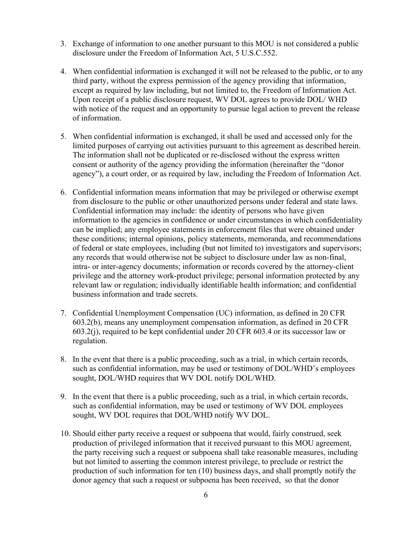- 3. Exchange of information to one another pursuant to this MOU is not considered a public disclosure under the Freedom of Information Act, 5 U.S.C.552.
- 4. When confidential information is exchanged it will not be released to the public, or to any third party, without the express permission of the agency providing that information, except as required by law including, but not limited to, the Freedom of Information Act. Upon receipt of a public disclosure request, WV DOL agrees to provide DOL/ WHD with notice of the request and an opportunity to pursue legal action to prevent the release of information.
- 5. When confidential information is exchanged, it shall be used and accessed only for the limited purposes of carrying out activities pursuant to this agreement as described herein. The information shall not be duplicated or re-disclosed without the express written consent or authority of the agency providing the information (hereinafter the "donor agency"), a court order, or as required by law, including the Freedom of Information Act.
- 6. Confidential information means information that may be privileged or otherwise exempt from disclosure to the public or other unauthorized persons under federal and state laws. Confidential information may include: the identity of persons who have given information to the agencies in confidence or under circumstances in which confidentiality can be implied; any employee statements in enforcement files that were obtained under these conditions; internal opinions, policy statements, memoranda, and recommendations of federal or state employees, including (but not limited to) investigators and supervisors; any records that would otherwise not be subject to disclosure under law as non-final, intra- or inter-agency documents; information or records covered by the attorney-client privilege and the attorney work-product privilege; personal information protected by any relevant law or regulation; individually identifiable health information; and confidential business information and trade secrets.
- 7. Confidential Unemployment Compensation (UC) information, as defined in 20 CFR 603.2(b), means any unemployment compensation information, as defined in 20 CFR 603.2(j), required to be kept confidential under 20 CFR 603.4 or its successor law or regulation.
- 8. In the event that there is a public proceeding, such as a trial, in which certain records, such as confidential information, may be used or testimony of DOL/WHD's employees sought, DOL/WHD requires that WV DOL notify DOL/WHD.
- 9. In the event that there is a public proceeding, such as a trial, in which certain records, such as confidential information, may be used or testimony of WV DOL employees sought, WV DOL requires that DOL/WHD notify WV DOL.
- 10. Should either party receive a request or subpoena that would, fairly construed, seek production of privileged information that it received pursuant to this MOU agreement, the party receiving such a request or subpoena shall take reasonable measures, including but not limited to asserting the common interest privilege, to preclude or restrict the production of such information for ten (10) business days, and shall promptly notify the donor agency that such a request or subpoena has been received, so that the donor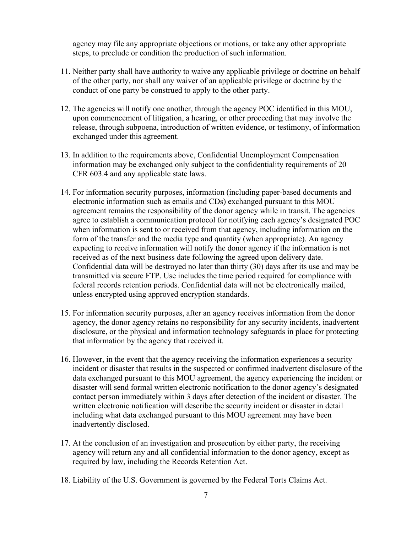agency may file any appropriate objections or motions, or take any other appropriate steps, to preclude or condition the production of such information.

- 11. Neither party shall have authority to waive any applicable privilege or doctrine on behalf of the other party, nor shall any waiver of an applicable privilege or doctrine by the conduct of one party be construed to apply to the other party.
- 12. The agencies will notify one another, through the agency POC identified in this MOU, upon commencement of litigation, a hearing, or other proceeding that may involve the release, through subpoena, introduction of written evidence, or testimony, of information exchanged under this agreement.
- 13. In addition to the requirements above, Confidential Unemployment Compensation information may be exchanged only subject to the confidentiality requirements of 20 CFR 603.4 and any applicable state laws.
- 14. For information security purposes, information (including paper-based documents and electronic information such as emails and CDs) exchanged pursuant to this MOU agreement remains the responsibility of the donor agency while in transit. The agencies agree to establish a communication protocol for notifying each agency's designated POC when information is sent to or received from that agency, including information on the form of the transfer and the media type and quantity (when appropriate). An agency expecting to receive information will notify the donor agency if the information is not received as of the next business date following the agreed upon delivery date. Confidential data will be destroyed no later than thirty (30) days after its use and may be transmitted via secure FTP. Use includes the time period required for compliance with federal records retention periods. Confidential data will not be electronically mailed, unless encrypted using approved encryption standards.
- 15. For information security purposes, after an agency receives information from the donor agency, the donor agency retains no responsibility for any security incidents, inadvertent disclosure, or the physical and information technology safeguards in place for protecting that information by the agency that received it.
- 16. However, in the event that the agency receiving the information experiences a security incident or disaster that results in the suspected or confirmed inadvertent disclosure of the data exchanged pursuant to this MOU agreement, the agency experiencing the incident or disaster will send formal written electronic notification to the donor agency's designated contact person immediately within 3 days after detection of the incident or disaster. The written electronic notification will describe the security incident or disaster in detail including what data exchanged pursuant to this MOU agreement may have been inadvertently disclosed.
- 17. At the conclusion of an investigation and prosecution by either party, the receiving agency will return any and all confidential information to the donor agency, except as required by law, including the Records Retention Act.
- 18. Liability of the U.S. Government is governed by the Federal Torts Claims Act.